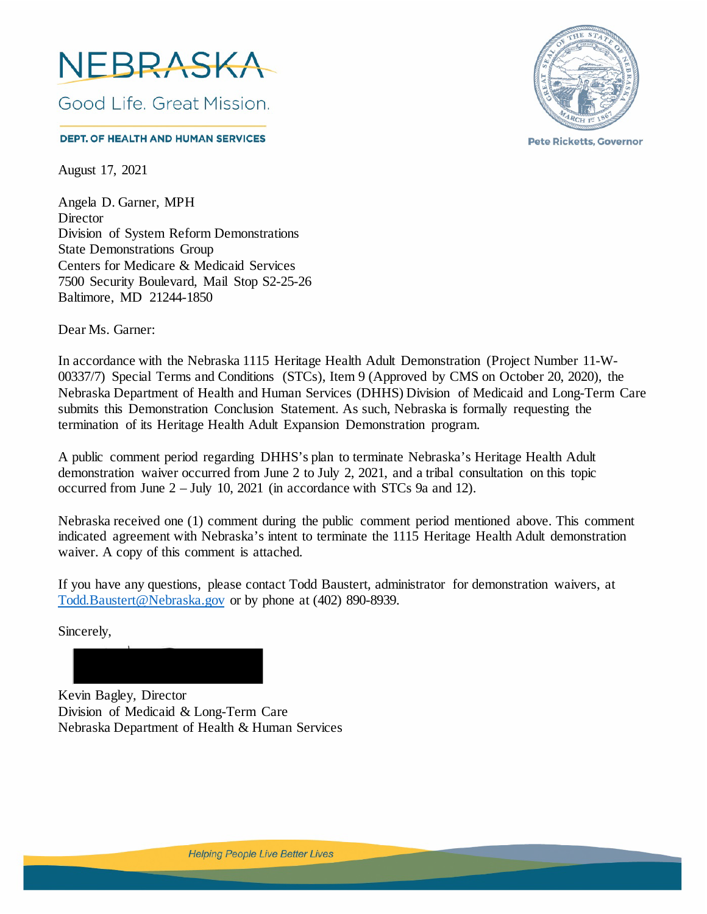

**DEPT. OF HEALTH AND HUMAN SERVICES** 

August 17, 2021

Angela D. Garner, MPH **Director** Division of System Reform Demonstrations State Demonstrations Group Centers for Medicare & Medicaid Services 7500 Security Boulevard, Mail Stop S2-25-26 Baltimore, MD 21244-1850

Dear Ms. Garner:

In accordance with the Nebraska 1115 Heritage Health Adult Demonstration (Project Number 11-W-00337/7) Special Terms and Conditions (STCs), Item 9 (Approved by CMS on October 20, 2020), the Nebraska Department of Health and Human Services (DHHS) Division of Medicaid and Long-Term Care submits this Demonstration Conclusion Statement. As such, Nebraska is formally requesting the termination of its Heritage Health Adult Expansion Demonstration program.

A public comment period regarding DHHS's plan to terminate Nebraska's Heritage Health Adult demonstration waiver occurred from June 2 to July 2, 2021, and a tribal consultation on this topic occurred from June 2 – July 10, 2021 (in accordance with STCs 9a and 12).

Nebraska received one (1) comment during the public comment period mentioned above. This comment indicated agreement with Nebraska's intent to terminate the 1115 Heritage Health Adult demonstration waiver. A copy of this comment is attached.

If you have any questions, please contact Todd Baustert, administrator for demonstration waivers, at [Todd.Baustert@Nebraska.gov](mailto:Todd.Baustert@Nebraska.gov) or by phone at (402) 890-8939.

Sincerely,

Kevin Bagley, Director Division of Medicaid & Long-Term Care Nebraska Department of Health & Human Services



**Pete Ricketts, Governor**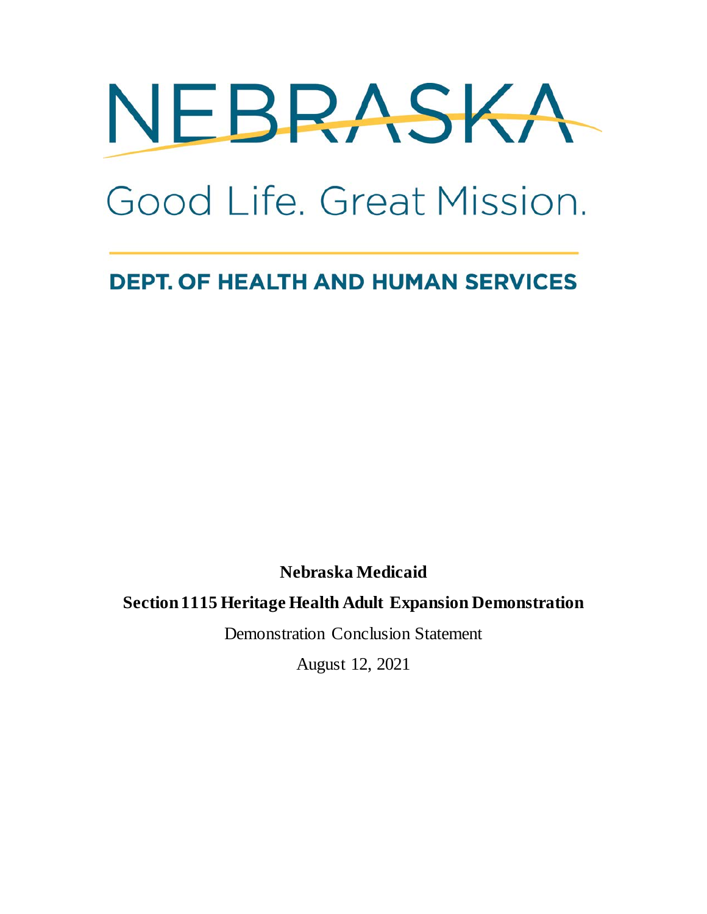

# Good Life, Great Mission.

## **DEPT. OF HEALTH AND HUMAN SERVICES**

**Nebraska Medicaid** 

#### **Section 1115 Heritage Health Adult Expansion Demonstration**

Demonstration Conclusion Statement

August 12, 2021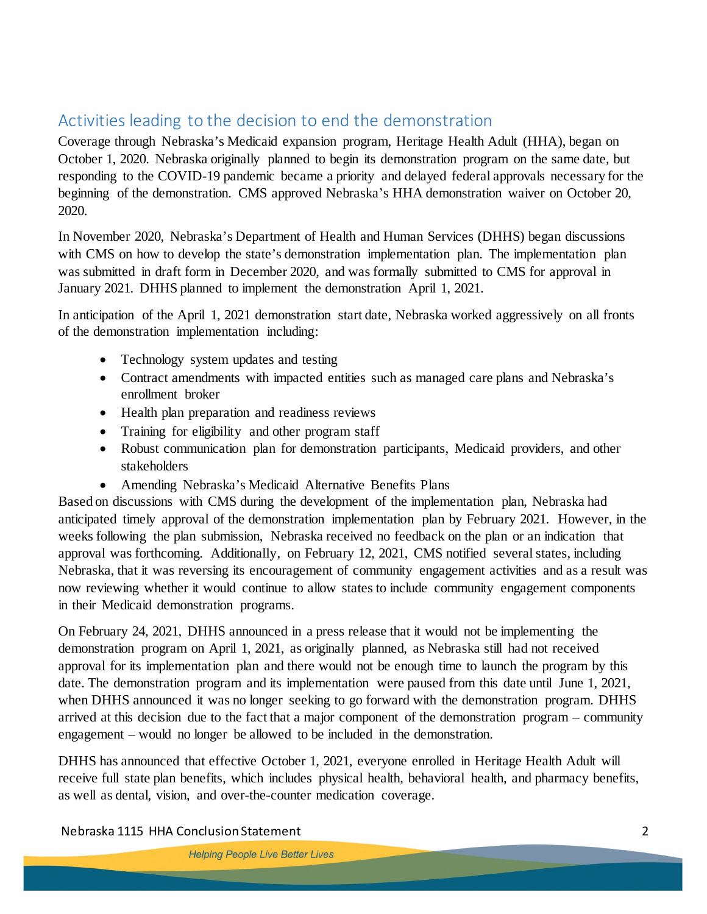#### Activities leading to the decision to end the demonstration

Coverage through Nebraska's Medicaid expansion program, Heritage Health Adult (HHA), began on October 1, 2020. Nebraska originally planned to begin its demonstration program on the same date, but responding to the COVID-19 pandemic became a priority and delayed federal approvals necessary for the beginning of the demonstration. CMS approved Nebraska's HHA demonstration waiver on October 20, 2020.

In November 2020, Nebraska's Department of Health and Human Services (DHHS) began discussions with CMS on how to develop the state's demonstration implementation plan. The implementation plan was submitted in draft form in December 2020, and was formally submitted to CMS for approval in January 2021. DHHS planned to implement the demonstration April 1, 2021.

In anticipation of the April 1, 2021 demonstration start date, Nebraska worked aggressively on all fronts of the demonstration implementation including:

- Technology system updates and testing
- Contract amendments with impacted entities such as managed care plans and Nebraska's enrollment broker
- Health plan preparation and readiness reviews
- Training for eligibility and other program staff
- Robust communication plan for demonstration participants, Medicaid providers, and other stakeholders
- Amending Nebraska's Medicaid Alternative Benefits Plans

Based on discussions with CMS during the development of the implementation plan, Nebraska had anticipated timely approval of the demonstration implementation plan by February 2021. However, in the weeks following the plan submission, Nebraska received no feedback on the plan or an indication that approval was forthcoming. Additionally, on February 12, 2021, CMS notified several states, including Nebraska, that it was reversing its encouragement of community engagement activities and as a result was now reviewing whether it would continue to allow states to include community engagement components in their Medicaid demonstration programs.

On February 24, 2021, DHHS announced in a press release that it would not be implementing the demonstration program on April 1, 2021, as originally planned, as Nebraska still had not received approval for its implementation plan and there would not be enough time to launch the program by this date. The demonstration program and its implementation were paused from this date until June 1, 2021, when DHHS announced it was no longer seeking to go forward with the demonstration program. DHHS arrived at this decision due to the fact that a major component of the demonstration program – community engagement – would no longer be allowed to be included in the demonstration.

DHHS has announced that effective October 1, 2021, everyone enrolled in Heritage Health Adult will receive full state plan benefits, which includes physical health, behavioral health, and pharmacy benefits, as well as dental, vision, and over-the-counter medication coverage.

Nebraska 1115 HHA Conclusion Statement 2

**Helping People Live Better Lives**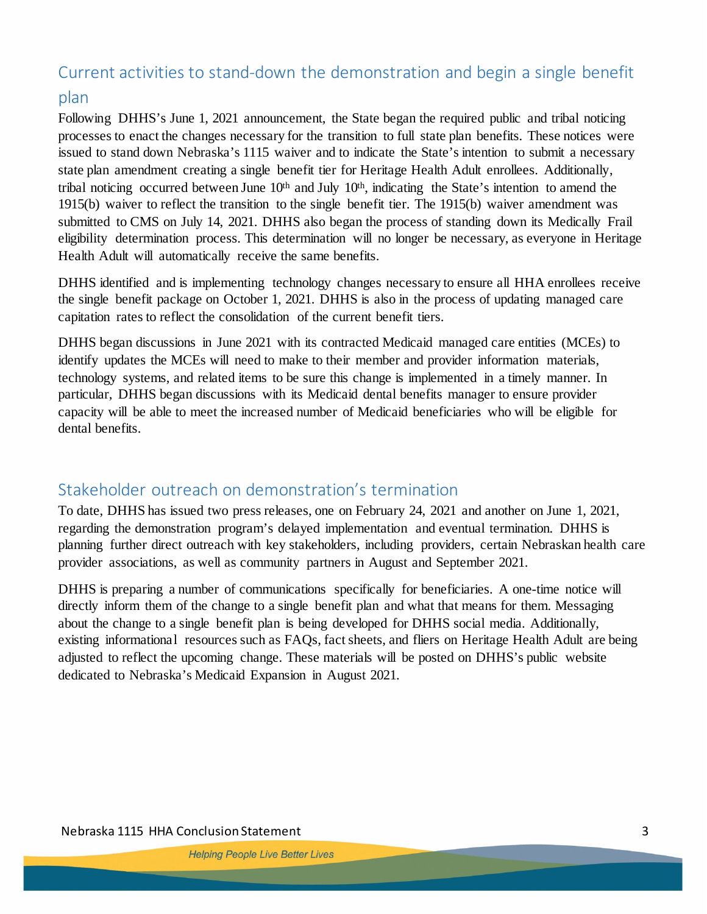### Current activities to stand-down the demonstration and begin a single benefit plan

Following DHHS's June 1, 2021 announcement, the State began the required public and tribal noticing processes to enact the changes necessary for the transition to full state plan benefits. These notices were issued to stand down Nebraska's 1115 waiver and to indicate the State's intention to submit a necessary state plan amendment creating a single benefit tier for Heritage Health Adult enrollees. Additionally, tribal noticing occurred between June  $10<sup>th</sup>$  and July  $10<sup>th</sup>$ , indicating the State's intention to amend the 1915(b) waiver to reflect the transition to the single benefit tier. The 1915(b) waiver amendment was submitted to CMS on July 14, 2021. DHHS also began the process of standing down its Medically Frail eligibility determination process. This determination will no longer be necessary, as everyone in Heritage Health Adult will automatically receive the same benefits.

DHHS identified and is implementing technology changes necessary to ensure all HHA enrollees receive the single benefit package on October 1, 2021. DHHS is also in the process of updating managed care capitation rates to reflect the consolidation of the current benefit tiers.

DHHS began discussions in June 2021 with its contracted Medicaid managed care entities (MCEs) to identify updates the MCEs will need to make to their member and provider information materials, technology systems, and related items to be sure this change is implemented in a timely manner. In particular, DHHS began discussions with its Medicaid dental benefits manager to ensure provider capacity will be able to meet the increased number of Medicaid beneficiaries who will be eligible for dental benefits.

#### Stakeholder outreach on demonstration's termination

To date, DHHS has issued two press releases, one on February 24, 2021 and another on June 1, 2021, regarding the demonstration program's delayed implementation and eventual termination. DHHS is planning further direct outreach with key stakeholders, including providers, certain Nebraskan health care provider associations, as well as community partners in August and September 2021.

DHHS is preparing a number of communications specifically for beneficiaries. A one-time notice will directly inform them of the change to a single benefit plan and what that means for them. Messaging about the change to a single benefit plan is being developed for DHHS social media. Additionally, existing informational resources such as FAQs, fact sheets, and fliers on Heritage Health Adult are being adjusted to reflect the upcoming change. These materials will be posted on DHHS's public website dedicated to Nebraska's Medicaid Expansion in August 2021.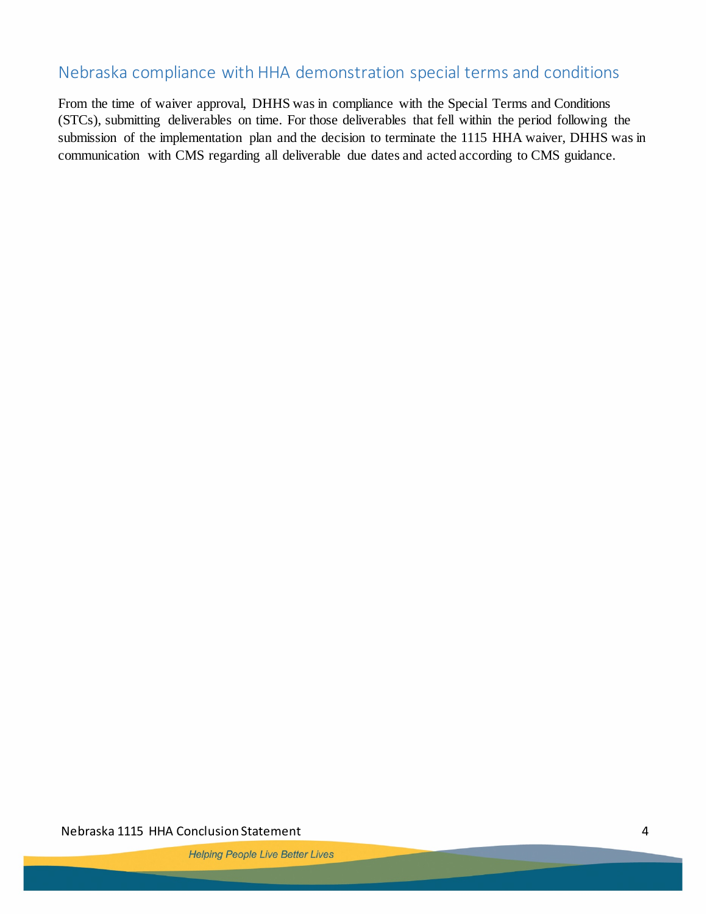#### Nebraska compliance with HHA demonstration special terms and conditions

From the time of waiver approval, DHHS was in compliance with the Special Terms and Conditions (STCs), submitting deliverables on time. For those deliverables that fell within the period following the submission of the implementation plan and the decision to terminate the 1115 HHA waiver, DHHS was in communication with CMS regarding all deliverable due dates and acted according to CMS guidance.

Nebraska 1115 HHA Conclusion Statement 4

**Helping People Live Better Lives**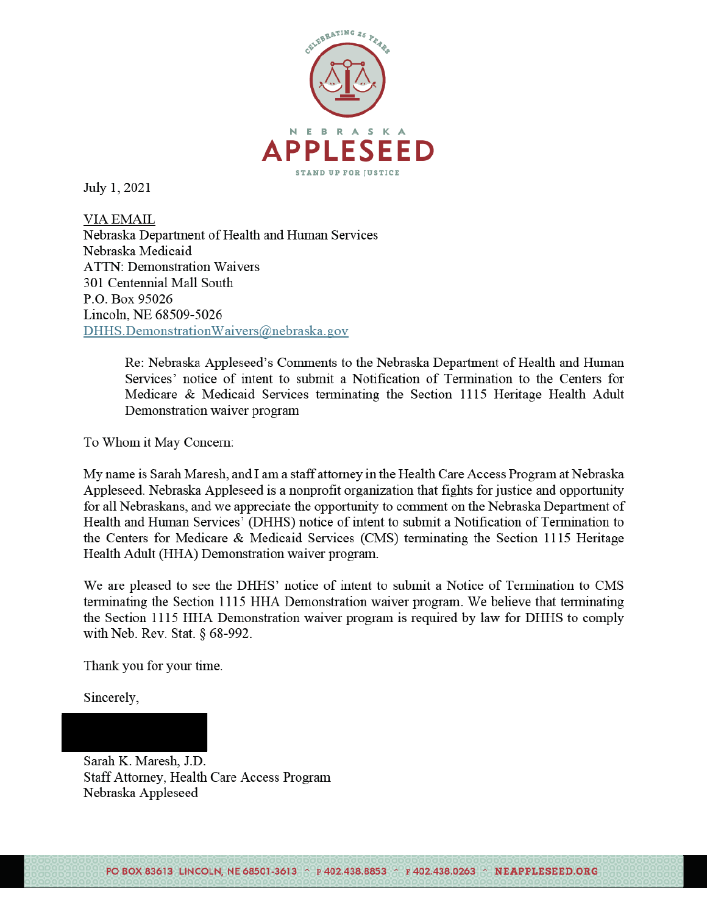

July 1, 2021

**VIA EMAIL** Nebraska Department of Health and Human Services Nebraska Medicaid **ATTN: Demonstration Waivers** 301 Centennial Mall South P.O. Box 95026 Lincoln, NE 68509-5026 DHHS.DemonstrationWaivers@nebraska.gov

> Re: Nebraska Appleseed's Comments to the Nebraska Department of Health and Human Services' notice of intent to submit a Notification of Termination to the Centers for Medicare & Medicaid Services terminating the Section 1115 Heritage Health Adult Demonstration waiver program

To Whom it May Concern:

My name is Sarah Maresh, and I am a staff attorney in the Health Care Access Program at Nebraska Appleseed. Nebraska Appleseed is a nonprofit organization that fights for justice and opportunity for all Nebraskans, and we appreciate the opportunity to comment on the Nebraska Department of Health and Human Services' (DHHS) notice of intent to submit a Notification of Termination to the Centers for Medicare & Medicaid Services (CMS) terminating the Section 1115 Heritage Health Adult (HHA) Demonstration waiver program.

We are pleased to see the DHHS' notice of intent to submit a Notice of Termination to CMS terminating the Section 1115 HHA Demonstration waiver program. We believe that terminating the Section 1115 HHA Demonstration waiver program is required by law for DHHS to comply with Neb. Rev. Stat. § 68-992.

Thank you for your time.

Sincerely,

Sarah K. Maresh, J.D. **Staff Attorney, Health Care Access Program** Nebraska Appleseed